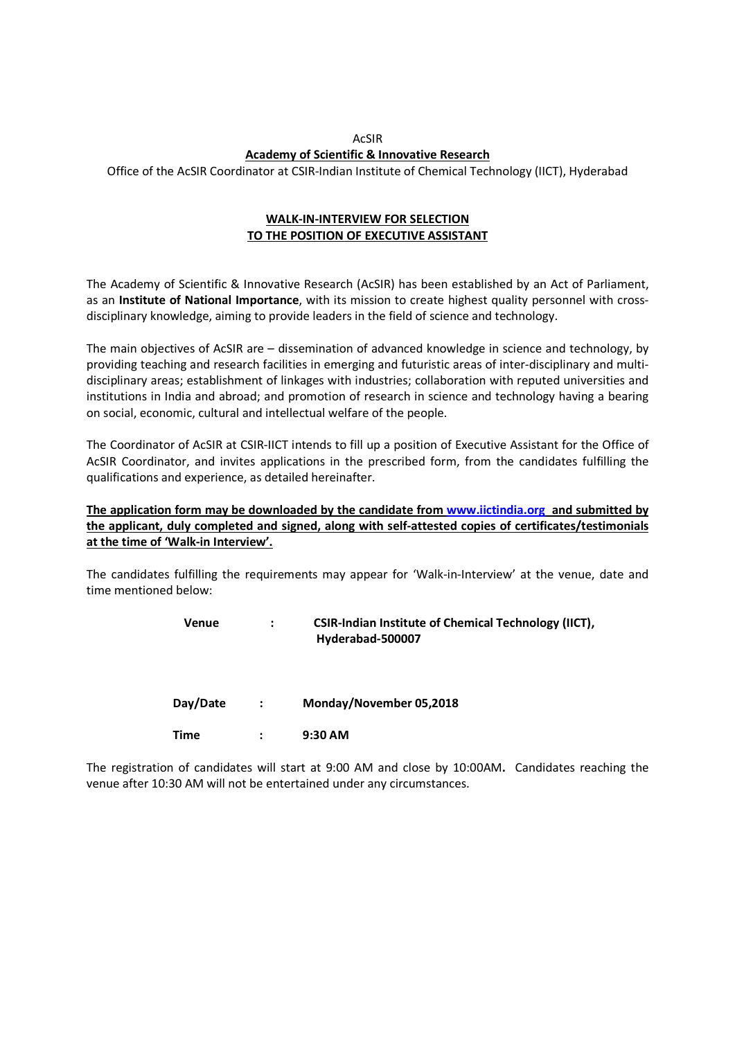# AcSIR Academy of Scientific & Innovative Research

Office of the AcSIR Coordinator at CSIR-Indian Institute of Chemical Technology (IICT), Hyderabad

### WALK-IN-INTERVIEW FOR SELECTION TO THE POSITION OF EXECUTIVE ASSISTANT

The Academy of Scientific & Innovative Research (AcSIR) has been established by an Act of Parliament, as an Institute of National Importance, with its mission to create highest quality personnel with crossdisciplinary knowledge, aiming to provide leaders in the field of science and technology.

The main objectives of AcSIR are – dissemination of advanced knowledge in science and technology, by providing teaching and research facilities in emerging and futuristic areas of inter-disciplinary and multidisciplinary areas; establishment of linkages with industries; collaboration with reputed universities and institutions in India and abroad; and promotion of research in science and technology having a bearing on social, economic, cultural and intellectual welfare of the people.

The Coordinator of AcSIR at CSIR-IICT intends to fill up a position of Executive Assistant for the Office of AcSIR Coordinator, and invites applications in the prescribed form, from the candidates fulfilling the qualifications and experience, as detailed hereinafter.

## The application form may be downloaded by the candidate from www.iictindia.org and submitted by the applicant, duly completed and signed, along with self-attested copies of certificates/testimonials at the time of 'Walk-in Interview'.

The candidates fulfilling the requirements may appear for 'Walk-in-Interview' at the venue, date and time mentioned below:

| Venue | <b>CSIR-Indian Institute of Chemical Technology (IICT),</b> |
|-------|-------------------------------------------------------------|
|       | Hyderabad-500007                                            |

Day/Date : Monday/November 05,2018

Time : 9:30 AM

The registration of candidates will start at 9:00 AM and close by 10:00AM. Candidates reaching the venue after 10:30 AM will not be entertained under any circumstances.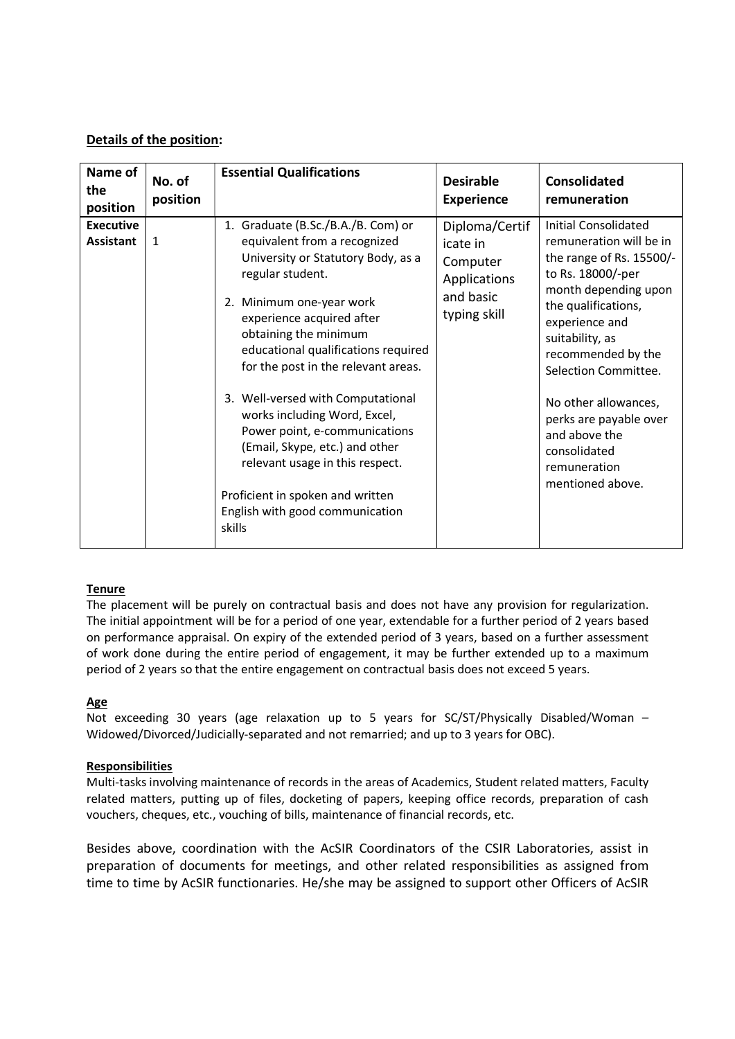# Details of the position:

| Name of<br>the<br>position           | No. of<br>position | <b>Essential Qualifications</b>                                                                                                                                                                                                                                                                                                                                                                                                                                                                                                                          | <b>Desirable</b><br><b>Experience</b>                                               | <b>Consolidated</b><br>remuneration                                                                                                                                                                                                                                                                                                                       |
|--------------------------------------|--------------------|----------------------------------------------------------------------------------------------------------------------------------------------------------------------------------------------------------------------------------------------------------------------------------------------------------------------------------------------------------------------------------------------------------------------------------------------------------------------------------------------------------------------------------------------------------|-------------------------------------------------------------------------------------|-----------------------------------------------------------------------------------------------------------------------------------------------------------------------------------------------------------------------------------------------------------------------------------------------------------------------------------------------------------|
| <b>Executive</b><br><b>Assistant</b> | 1                  | 1. Graduate (B.Sc./B.A./B. Com) or<br>equivalent from a recognized<br>University or Statutory Body, as a<br>regular student.<br>2. Minimum one-year work<br>experience acquired after<br>obtaining the minimum<br>educational qualifications required<br>for the post in the relevant areas.<br>3. Well-versed with Computational<br>works including Word, Excel,<br>Power point, e-communications<br>(Email, Skype, etc.) and other<br>relevant usage in this respect.<br>Proficient in spoken and written<br>English with good communication<br>skills | Diploma/Certif<br>icate in<br>Computer<br>Applications<br>and basic<br>typing skill | Initial Consolidated<br>remuneration will be in<br>the range of Rs. 15500/-<br>to Rs. 18000/-per<br>month depending upon<br>the qualifications,<br>experience and<br>suitability, as<br>recommended by the<br>Selection Committee.<br>No other allowances,<br>perks are payable over<br>and above the<br>consolidated<br>remuneration<br>mentioned above. |

#### **Tenure**

The placement will be purely on contractual basis and does not have any provision for regularization. The initial appointment will be for a period of one year, extendable for a further period of 2 years based on performance appraisal. On expiry of the extended period of 3 years, based on a further assessment of work done during the entire period of engagement, it may be further extended up to a maximum period of 2 years so that the entire engagement on contractual basis does not exceed 5 years.

#### Age

Not exceeding 30 years (age relaxation up to 5 years for SC/ST/Physically Disabled/Woman – Widowed/Divorced/Judicially-separated and not remarried; and up to 3 years for OBC).

#### Responsibilities

Multi-tasks involving maintenance of records in the areas of Academics, Student related matters, Faculty related matters, putting up of files, docketing of papers, keeping office records, preparation of cash vouchers, cheques, etc., vouching of bills, maintenance of financial records, etc.

Besides above, coordination with the AcSIR Coordinators of the CSIR Laboratories, assist in preparation of documents for meetings, and other related responsibilities as assigned from time to time by AcSIR functionaries. He/she may be assigned to support other Officers of AcSIR